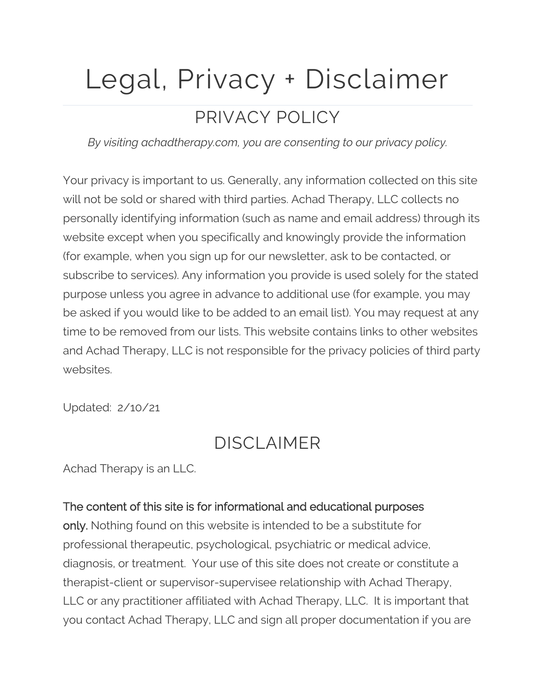# Legal, Privacy + Disclaimer

# PRIVACY POLICY

*By visiting achadtherapy.com, you are consenting to our privacy policy.*

Your privacy is important to us. Generally, any information collected on this site will not be sold or shared with third parties. Achad Therapy, LLC collects no personally identifying information (such as name and email address) through its website except when you specifically and knowingly provide the information (for example, when you sign up for our newsletter, ask to be contacted, or subscribe to services). Any information you provide is used solely for the stated purpose unless you agree in advance to additional use (for example, you may be asked if you would like to be added to an email list). You may request at any time to be removed from our lists. This website contains links to other websites and Achad Therapy, LLC is not responsible for the privacy policies of third party websites.

Updated: 2/10/21

# DISCLAIMER

Achad Therapy is an LLC.

#### The content of this site is for informational and educational purposes

only. Nothing found on this website is intended to be a substitute for professional therapeutic, psychological, psychiatric or medical advice, diagnosis, or treatment. Your use of this site does not create or constitute a therapist-client or supervisor-supervisee relationship with Achad Therapy, LLC or any practitioner affiliated with Achad Therapy, LLC. It is important that you contact Achad Therapy, LLC and sign all proper documentation if you are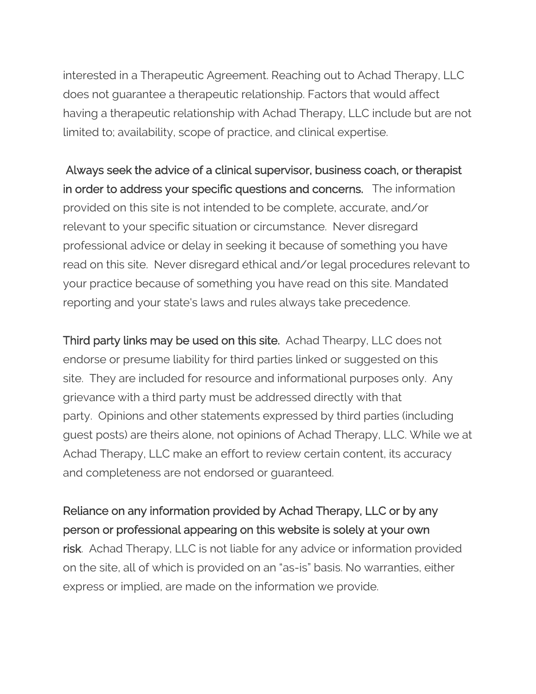interested in a Therapeutic Agreement. Reaching out to Achad Therapy, LLC does not guarantee a therapeutic relationship. Factors that would affect having a therapeutic relationship with Achad Therapy, LLC include but are not limited to; availability, scope of practice, and clinical expertise.

Always seek the advice of a clinical supervisor, business coach, or therapist in order to address your specific questions and concerns. The information provided on this site is not intended to be complete, accurate, and/or relevant to your specific situation or circumstance. Never disregard professional advice or delay in seeking it because of something you have read on this site. Never disregard ethical and/or legal procedures relevant to your practice because of something you have read on this site. Mandated reporting and your state's laws and rules always take precedence.

Third party links may be used on this site. Achad Thearpy, LLC does not endorse or presume liability for third parties linked or suggested on this site. They are included for resource and informational purposes only. Any grievance with a third party must be addressed directly with that party. Opinions and other statements expressed by third parties (including guest posts) are theirs alone, not opinions of Achad Therapy, LLC. While we at Achad Therapy, LLC make an effort to review certain content, its accuracy and completeness are not endorsed or guaranteed.

#### Reliance on any information provided by Achad Therapy, LLC or by any person or professional appearing on this website is solely at your own

risk. Achad Therapy, LLC is not liable for any advice or information provided on the site, all of which is provided on an "as-is" basis. No warranties, either express or implied, are made on the information we provide.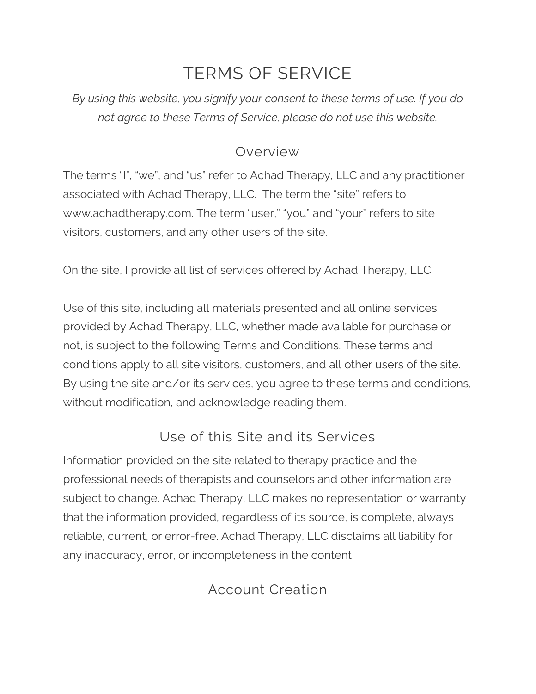# TERMS OF SERVICE

*By using this website, you signify your consent to these terms of use. If you do not agree to these Terms of Service, please do not use this website.*

#### Overview

The terms "I", "we", and "us" refer to Achad Therapy, LLC and any practitioner associated with Achad Therapy, LLC. The term the "site" refers to www.achadtherapy.com. The term "user," "you" and "your" refers to site visitors, customers, and any other users of the site.

On the site, I provide all list of services offered by Achad Therapy, LLC

Use of this site, including all materials presented and all online services provided by Achad Therapy, LLC, whether made available for purchase or not, is subject to the following Terms and Conditions. These terms and conditions apply to all site visitors, customers, and all other users of the site. By using the site and/or its services, you agree to these terms and conditions, without modification, and acknowledge reading them.

### Use of this Site and its Services

Information provided on the site related to therapy practice and the professional needs of therapists and counselors and other information are subject to change. Achad Therapy, LLC makes no representation or warranty that the information provided, regardless of its source, is complete, always reliable, current, or error-free. Achad Therapy, LLC disclaims all liability for any inaccuracy, error, or incompleteness in the content.

## Account Creation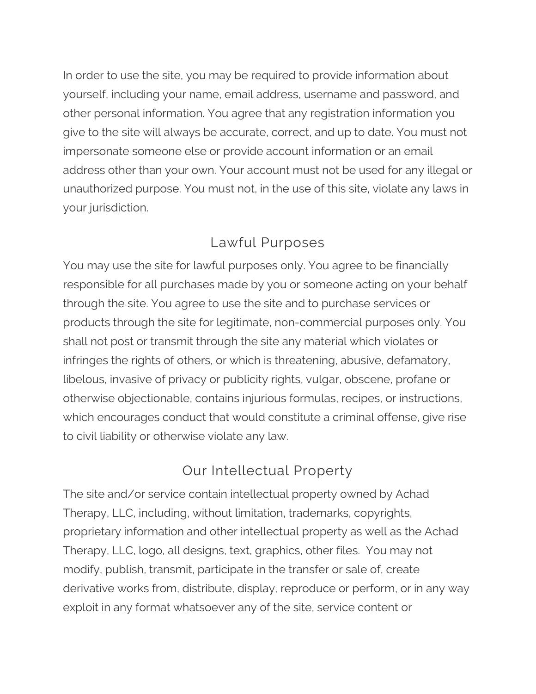In order to use the site, you may be required to provide information about yourself, including your name, email address, username and password, and other personal information. You agree that any registration information you give to the site will always be accurate, correct, and up to date. You must not impersonate someone else or provide account information or an email address other than your own. Your account must not be used for any illegal or unauthorized purpose. You must not, in the use of this site, violate any laws in your jurisdiction.

#### Lawful Purposes

You may use the site for lawful purposes only. You agree to be financially responsible for all purchases made by you or someone acting on your behalf through the site. You agree to use the site and to purchase services or products through the site for legitimate, non-commercial purposes only. You shall not post or transmit through the site any material which violates or infringes the rights of others, or which is threatening, abusive, defamatory, libelous, invasive of privacy or publicity rights, vulgar, obscene, profane or otherwise objectionable, contains injurious formulas, recipes, or instructions, which encourages conduct that would constitute a criminal offense, give rise to civil liability or otherwise violate any law.

## Our Intellectual Property

The site and/or service contain intellectual property owned by Achad Therapy, LLC, including, without limitation, trademarks, copyrights, proprietary information and other intellectual property as well as the Achad Therapy, LLC, logo, all designs, text, graphics, other files. You may not modify, publish, transmit, participate in the transfer or sale of, create derivative works from, distribute, display, reproduce or perform, or in any way exploit in any format whatsoever any of the site, service content or